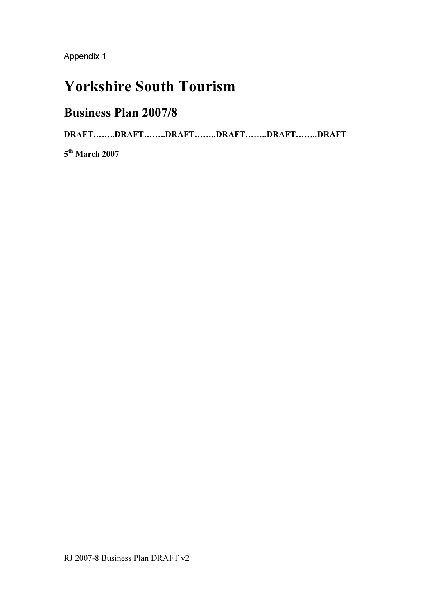# Yorkshire South Tourism

# Business Plan 2007/8

DRAFT……..DRAFT……..DRAFT……..DRAFT……..DRAFT……..DRAFT

5<sup>th</sup> March 2007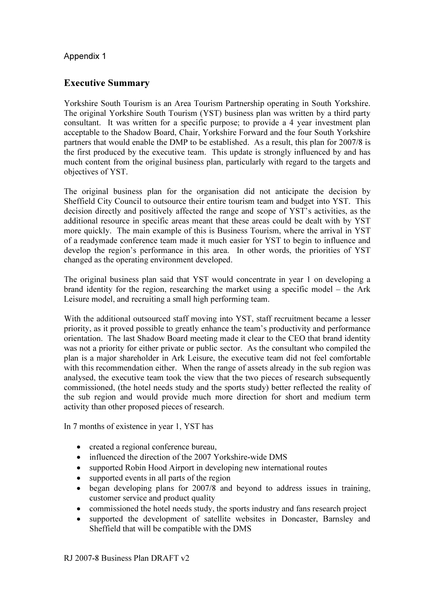# Executive Summary

Yorkshire South Tourism is an Area Tourism Partnership operating in South Yorkshire. The original Yorkshire South Tourism (YST) business plan was written by a third party consultant. It was written for a specific purpose; to provide a 4 year investment plan acceptable to the Shadow Board, Chair, Yorkshire Forward and the four South Yorkshire partners that would enable the DMP to be established. As a result, this plan for 2007/8 is the first produced by the executive team. This update is strongly influenced by and has much content from the original business plan, particularly with regard to the targets and objectives of YST.

The original business plan for the organisation did not anticipate the decision by Sheffield City Council to outsource their entire tourism team and budget into YST. This decision directly and positively affected the range and scope of YST's activities, as the additional resource in specific areas meant that these areas could be dealt with by YST more quickly. The main example of this is Business Tourism, where the arrival in YST of a readymade conference team made it much easier for YST to begin to influence and develop the region's performance in this area. In other words, the priorities of YST changed as the operating environment developed.

The original business plan said that YST would concentrate in year 1 on developing a brand identity for the region, researching the market using a specific model – the Ark Leisure model, and recruiting a small high performing team.

With the additional outsourced staff moving into YST, staff recruitment became a lesser priority, as it proved possible to greatly enhance the team's productivity and performance orientation. The last Shadow Board meeting made it clear to the CEO that brand identity was not a priority for either private or public sector. As the consultant who compiled the plan is a major shareholder in Ark Leisure, the executive team did not feel comfortable with this recommendation either. When the range of assets already in the sub region was analysed, the executive team took the view that the two pieces of research subsequently commissioned, (the hotel needs study and the sports study) better reflected the reality of the sub region and would provide much more direction for short and medium term activity than other proposed pieces of research.

In 7 months of existence in year 1, YST has

- created a regional conference bureau,
- influenced the direction of the 2007 Yorkshire-wide DMS
- supported Robin Hood Airport in developing new international routes
- supported events in all parts of the region
- began developing plans for 2007/8 and beyond to address issues in training, customer service and product quality
- commissioned the hotel needs study, the sports industry and fans research project
- supported the development of satellite websites in Doncaster, Barnsley and Sheffield that will be compatible with the DMS

RJ 2007-8 Business Plan DRAFT v2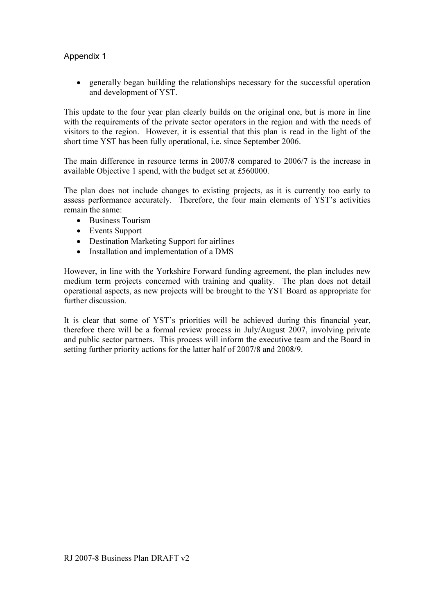• generally began building the relationships necessary for the successful operation and development of YST.

This update to the four year plan clearly builds on the original one, but is more in line with the requirements of the private sector operators in the region and with the needs of visitors to the region. However, it is essential that this plan is read in the light of the short time YST has been fully operational, i.e. since September 2006.

The main difference in resource terms in 2007/8 compared to 2006/7 is the increase in available Objective 1 spend, with the budget set at £560000.

The plan does not include changes to existing projects, as it is currently too early to assess performance accurately. Therefore, the four main elements of YST's activities remain the same:

- Business Tourism
- Events Support
- Destination Marketing Support for airlines
- Installation and implementation of a DMS

However, in line with the Yorkshire Forward funding agreement, the plan includes new medium term projects concerned with training and quality. The plan does not detail operational aspects, as new projects will be brought to the YST Board as appropriate for further discussion.

It is clear that some of YST's priorities will be achieved during this financial year, therefore there will be a formal review process in July/August 2007, involving private and public sector partners. This process will inform the executive team and the Board in setting further priority actions for the latter half of 2007/8 and 2008/9.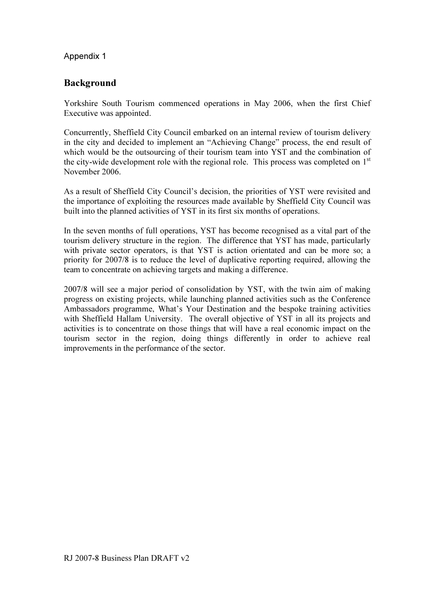# Background

Yorkshire South Tourism commenced operations in May 2006, when the first Chief Executive was appointed.

Concurrently, Sheffield City Council embarked on an internal review of tourism delivery in the city and decided to implement an "Achieving Change" process, the end result of which would be the outsourcing of their tourism team into YST and the combination of the city-wide development role with the regional role. This process was completed on 1<sup>st</sup> November 2006.

As a result of Sheffield City Council's decision, the priorities of YST were revisited and the importance of exploiting the resources made available by Sheffield City Council was built into the planned activities of YST in its first six months of operations.

In the seven months of full operations, YST has become recognised as a vital part of the tourism delivery structure in the region. The difference that YST has made, particularly with private sector operators, is that YST is action orientated and can be more so; a priority for 2007/8 is to reduce the level of duplicative reporting required, allowing the team to concentrate on achieving targets and making a difference.

2007/8 will see a major period of consolidation by YST, with the twin aim of making progress on existing projects, while launching planned activities such as the Conference Ambassadors programme, What's Your Destination and the bespoke training activities with Sheffield Hallam University. The overall objective of YST in all its projects and activities is to concentrate on those things that will have a real economic impact on the tourism sector in the region, doing things differently in order to achieve real improvements in the performance of the sector.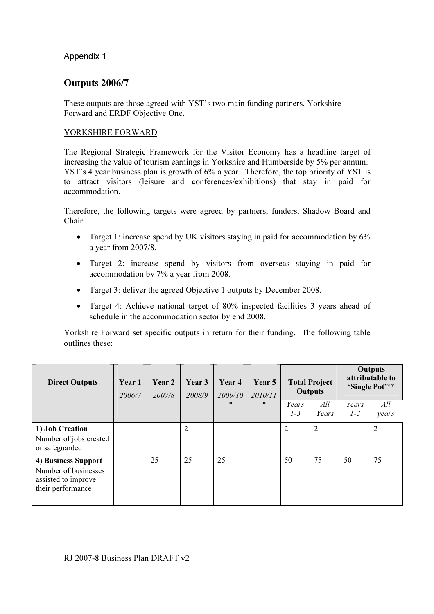# Outputs 2006/7

These outputs are those agreed with YST's two main funding partners, Yorkshire Forward and ERDF Objective One.

# YORKSHIRE FORWARD

The Regional Strategic Framework for the Visitor Economy has a headline target of increasing the value of tourism earnings in Yorkshire and Humberside by 5% per annum. YST's 4 year business plan is growth of 6% a year. Therefore, the top priority of YST is to attract visitors (leisure and conferences/exhibitions) that stay in paid for accommodation.

Therefore, the following targets were agreed by partners, funders, Shadow Board and Chair.

- Target 1: increase spend by UK visitors staying in paid for accommodation by 6% a year from 2007/8.
- Target 2: increase spend by visitors from overseas staying in paid for accommodation by 7% a year from 2008.
- Target 3: deliver the agreed Objective 1 outputs by December 2008.
- Target 4: Achieve national target of 80% inspected facilities 3 years ahead of schedule in the accommodation sector by end 2008.

Yorkshire Forward set specific outputs in return for their funding. The following table outlines these:

| <b>Direct Outputs</b>                                                                   | Year 1<br>2006/7 | Year 2<br>2007/8 | Year 3<br>2008/9 | Year 4<br>2009/10 | Year 5<br>2010/11 | <b>Total Project</b><br><b>Outputs</b> |                | <b>Outputs</b><br>attributable to<br>'Single Pot'** |                |
|-----------------------------------------------------------------------------------------|------------------|------------------|------------------|-------------------|-------------------|----------------------------------------|----------------|-----------------------------------------------------|----------------|
|                                                                                         |                  |                  |                  | $\ast$            | $\ast$            | Years<br>$1-3$                         | All<br>Years   | Years<br>$1-3$                                      | All<br>years   |
| 1) Job Creation<br>Number of jobs created<br>or safeguarded                             |                  |                  | $\overline{2}$   |                   |                   | $\overline{2}$                         | $\overline{2}$ |                                                     | $\overline{2}$ |
| 4) Business Support<br>Number of businesses<br>assisted to improve<br>their performance |                  | 25               | 25               | 25                |                   | 50                                     | 75             | 50                                                  | 75             |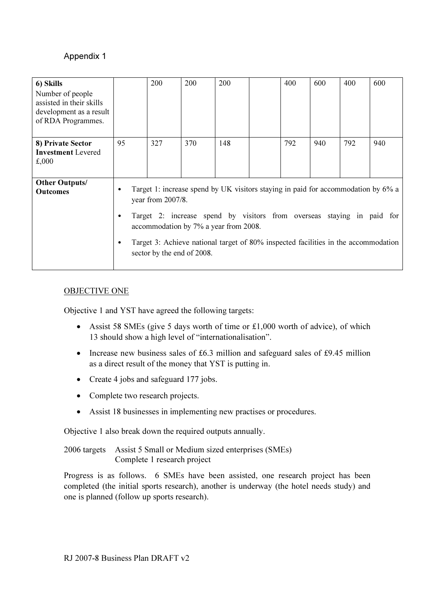| 6) Skills<br>Number of people<br>assisted in their skills<br>development as a result<br>of RDA Programmes. |                                                                                                                                                                                                                                                                                                                                                                      | 200 | 200 | 200 |  | 400 | 600 | 400 | 600 |
|------------------------------------------------------------------------------------------------------------|----------------------------------------------------------------------------------------------------------------------------------------------------------------------------------------------------------------------------------------------------------------------------------------------------------------------------------------------------------------------|-----|-----|-----|--|-----|-----|-----|-----|
| 8) Private Sector<br><b>Investment</b> Levered<br>£,000                                                    | 95                                                                                                                                                                                                                                                                                                                                                                   | 327 | 370 | 148 |  | 792 | 940 | 792 | 940 |
| <b>Other Outputs/</b><br><b>Outcomes</b>                                                                   | Target 1: increase spend by UK visitors staying in paid for accommodation by 6% a<br>٠<br>year from 2007/8.<br>Target 2: increase spend by visitors from overseas staying in paid for<br>٠<br>accommodation by 7% a year from 2008.<br>Target 3: Achieve national target of 80% inspected facilities in the accommodation<br>$\bullet$<br>sector by the end of 2008. |     |     |     |  |     |     |     |     |

#### OBJECTIVE ONE

Objective 1 and YST have agreed the following targets:

- Assist 58 SMEs (give 5 days worth of time or £1,000 worth of advice), of which 13 should show a high level of "internationalisation".
- Increase new business sales of £6.3 million and safeguard sales of £9.45 million as a direct result of the money that YST is putting in.
- Create 4 jobs and safeguard 177 jobs.
- Complete two research projects.
- Assist 18 businesses in implementing new practises or procedures.

Objective 1 also break down the required outputs annually.

2006 targets Assist 5 Small or Medium sized enterprises (SMEs) Complete 1 research project

Progress is as follows. 6 SMEs have been assisted, one research project has been completed (the initial sports research), another is underway (the hotel needs study) and one is planned (follow up sports research).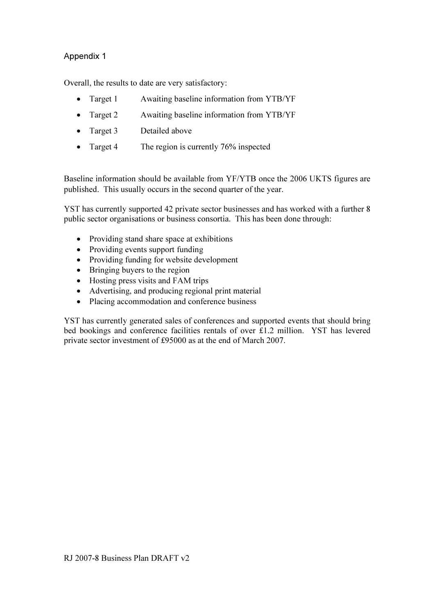Overall, the results to date are very satisfactory:

- Target 1 Awaiting baseline information from YTB/YF
- Target 2 Awaiting baseline information from YTB/YF
- Target 3 Detailed above
- Target 4 The region is currently 76% inspected

Baseline information should be available from YF/YTB once the 2006 UKTS figures are published. This usually occurs in the second quarter of the year.

YST has currently supported 42 private sector businesses and has worked with a further 8 public sector organisations or business consortia. This has been done through:

- Providing stand share space at exhibitions
- Providing events support funding
- Providing funding for website development
- Bringing buyers to the region
- Hosting press visits and FAM trips
- Advertising, and producing regional print material
- Placing accommodation and conference business

YST has currently generated sales of conferences and supported events that should bring bed bookings and conference facilities rentals of over £1.2 million. YST has levered private sector investment of £95000 as at the end of March 2007.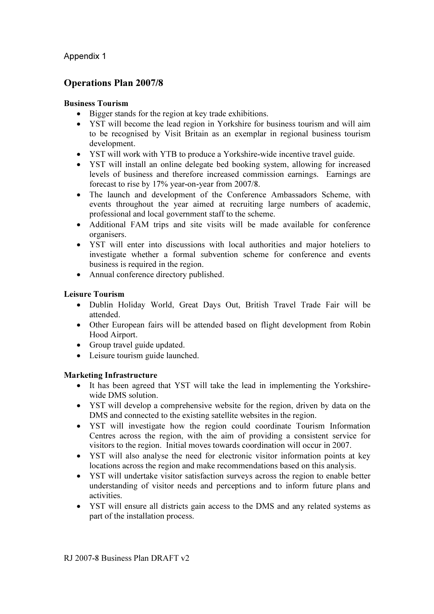# Operations Plan 2007/8

#### Business Tourism

- Bigger stands for the region at key trade exhibitions.
- YST will become the lead region in Yorkshire for business tourism and will aim to be recognised by Visit Britain as an exemplar in regional business tourism development.
- YST will work with YTB to produce a Yorkshire-wide incentive travel guide.
- YST will install an online delegate bed booking system, allowing for increased levels of business and therefore increased commission earnings. Earnings are forecast to rise by 17% year-on-year from 2007/8.
- The launch and development of the Conference Ambassadors Scheme, with events throughout the year aimed at recruiting large numbers of academic, professional and local government staff to the scheme.
- Additional FAM trips and site visits will be made available for conference organisers.
- YST will enter into discussions with local authorities and major hoteliers to investigate whether a formal subvention scheme for conference and events business is required in the region.
- Annual conference directory published.

#### Leisure Tourism

- Dublin Holiday World, Great Days Out, British Travel Trade Fair will be attended.
- Other European fairs will be attended based on flight development from Robin Hood Airport.
- Group travel guide updated.
- Leisure tourism guide launched.

# Marketing Infrastructure

- It has been agreed that YST will take the lead in implementing the Yorkshirewide DMS solution.
- YST will develop a comprehensive website for the region, driven by data on the DMS and connected to the existing satellite websites in the region.
- YST will investigate how the region could coordinate Tourism Information Centres across the region, with the aim of providing a consistent service for visitors to the region. Initial moves towards coordination will occur in 2007.
- YST will also analyse the need for electronic visitor information points at key locations across the region and make recommendations based on this analysis.
- YST will undertake visitor satisfaction surveys across the region to enable better understanding of visitor needs and perceptions and to inform future plans and activities.
- YST will ensure all districts gain access to the DMS and any related systems as part of the installation process.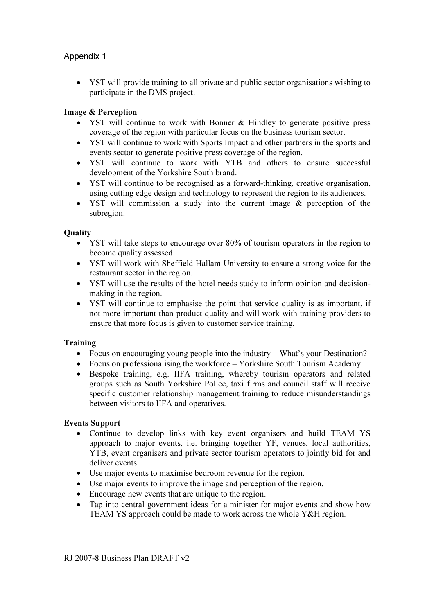• YST will provide training to all private and public sector organisations wishing to participate in the DMS project.

# Image & Perception

- YST will continue to work with Bonner & Hindley to generate positive press coverage of the region with particular focus on the business tourism sector.
- YST will continue to work with Sports Impact and other partners in the sports and events sector to generate positive press coverage of the region.
- YST will continue to work with YTB and others to ensure successful development of the Yorkshire South brand.
- YST will continue to be recognised as a forward-thinking, creative organisation, using cutting edge design and technology to represent the region to its audiences.
- YST will commission a study into the current image & perception of the subregion.

# **Ouality**

- YST will take steps to encourage over 80% of tourism operators in the region to become quality assessed.
- YST will work with Sheffield Hallam University to ensure a strong voice for the restaurant sector in the region.
- YST will use the results of the hotel needs study to inform opinion and decisionmaking in the region.
- YST will continue to emphasise the point that service quality is as important, if not more important than product quality and will work with training providers to ensure that more focus is given to customer service training.

# Training

- Focus on encouraging young people into the industry What's your Destination?
- Focus on professionalising the workforce Yorkshire South Tourism Academy
- Bespoke training, e.g. IIFA training, whereby tourism operators and related groups such as South Yorkshire Police, taxi firms and council staff will receive specific customer relationship management training to reduce misunderstandings between visitors to IIFA and operatives.

#### Events Support

- Continue to develop links with key event organisers and build TEAM YS approach to major events, i.e. bringing together YF, venues, local authorities, YTB, event organisers and private sector tourism operators to jointly bid for and deliver events.
- Use major events to maximise bedroom revenue for the region.
- Use major events to improve the image and perception of the region.
- Encourage new events that are unique to the region.
- Tap into central government ideas for a minister for major events and show how TEAM YS approach could be made to work across the whole Y&H region.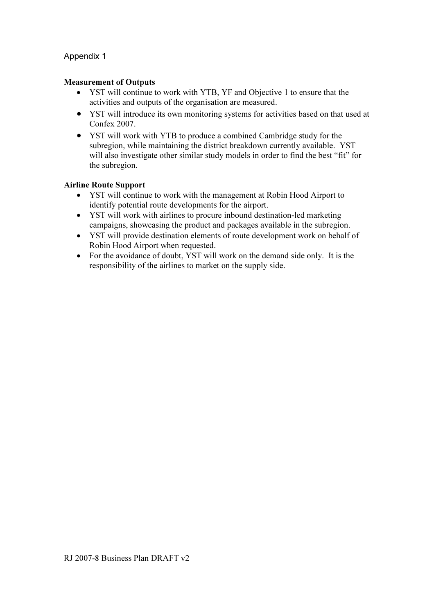#### Measurement of Outputs

- YST will continue to work with YTB, YF and Objective 1 to ensure that the activities and outputs of the organisation are measured.
- YST will introduce its own monitoring systems for activities based on that used at Confex 2007.
- YST will work with YTB to produce a combined Cambridge study for the subregion, while maintaining the district breakdown currently available. YST will also investigate other similar study models in order to find the best "fit" for the subregion.

# Airline Route Support

- YST will continue to work with the management at Robin Hood Airport to identify potential route developments for the airport.
- YST will work with airlines to procure inbound destination-led marketing campaigns, showcasing the product and packages available in the subregion.
- YST will provide destination elements of route development work on behalf of Robin Hood Airport when requested.
- For the avoidance of doubt, YST will work on the demand side only. It is the responsibility of the airlines to market on the supply side.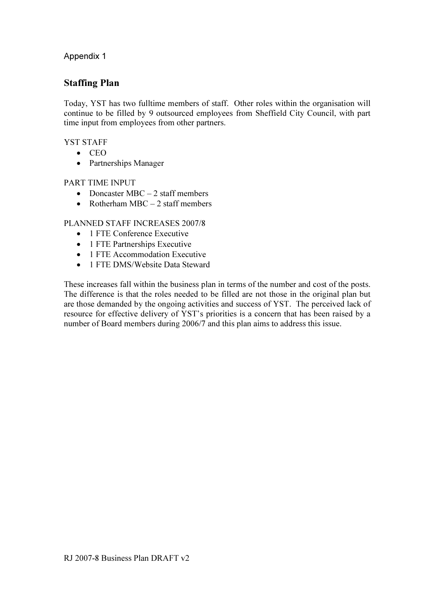# Staffing Plan

Today, YST has two fulltime members of staff. Other roles within the organisation will continue to be filled by 9 outsourced employees from Sheffield City Council, with part time input from employees from other partners.

# YST STAFF

- CEO
- Partnerships Manager

#### PART TIME INPUT

- Doncaster MBC  $-2$  staff members
- Rotherham  $MBC 2$  staff members

# PLANNED STAFF INCREASES 2007/8

- 1 FTE Conference Executive
- 1 FTE Partnerships Executive
- 1 FTE Accommodation Executive
- 1 FTE DMS/Website Data Steward

These increases fall within the business plan in terms of the number and cost of the posts. The difference is that the roles needed to be filled are not those in the original plan but are those demanded by the ongoing activities and success of YST. The perceived lack of resource for effective delivery of YST's priorities is a concern that has been raised by a number of Board members during 2006/7 and this plan aims to address this issue.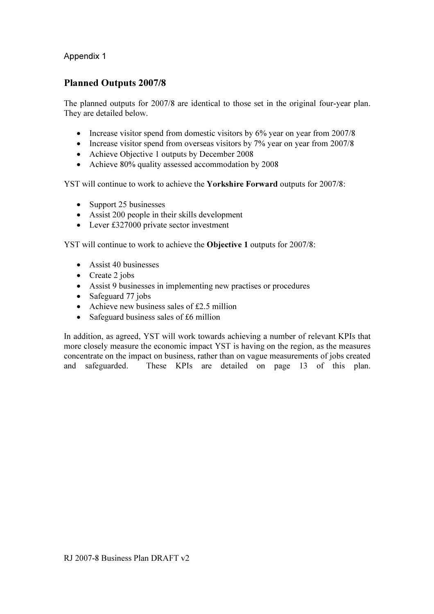# Planned Outputs 2007/8

The planned outputs for 2007/8 are identical to those set in the original four-year plan. They are detailed below.

- Increase visitor spend from domestic visitors by 6% year on year from 2007/8
- Increase visitor spend from overseas visitors by 7% year on year from 2007/8
- Achieve Objective 1 outputs by December 2008
- Achieve 80% quality assessed accommodation by 2008

YST will continue to work to achieve the Yorkshire Forward outputs for 2007/8:

- Support 25 businesses
- Assist 200 people in their skills development
- Lever £327000 private sector investment

YST will continue to work to achieve the Objective 1 outputs for 2007/8:

- Assist 40 businesses
- Create 2 jobs
- Assist 9 businesses in implementing new practises or procedures
- Safeguard 77 jobs
- Achieve new business sales of  $£2.5$  million
- Safeguard business sales of £6 million

In addition, as agreed, YST will work towards achieving a number of relevant KPIs that more closely measure the economic impact YST is having on the region, as the measures concentrate on the impact on business, rather than on vague measurements of jobs created and safeguarded. These KPIs are detailed on page 13 of this plan.